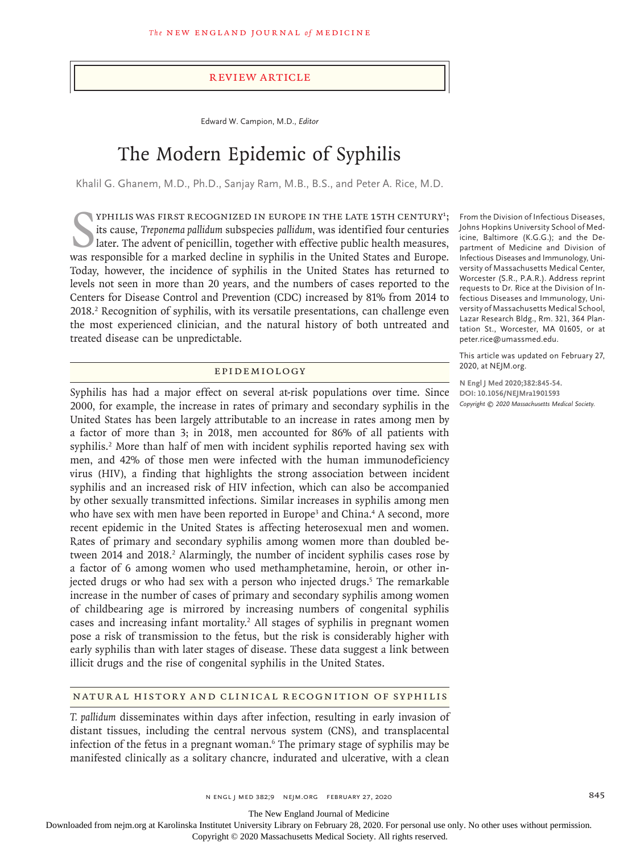#### Review Article

Edward W. Campion, M.D., *Editor*

# The Modern Epidemic of Syphilis

Khalil G. Ghanem, M.D., Ph.D., Sanjay Ram, M.B., B.S., and Peter A. Rice, M.D.

YPHILIS WAS FIRST RECOGNIZED IN EUROPE IN THE LATE 15TH CENTURY<sup>1</sup>; its cause, *Treponema pallidum* subspecies *pallidum*, was identified four centuries later. The advent of penicillin, together with effective public healt YPHILIS WAS FIRST RECOGNIZED IN EUROPE IN THE LATE 15TH CENTURY<sup>1</sup>; its cause, *Treponema pallidum* subspecies *pallidum*, was identified four centuries later. The advent of penicillin, together with effective public health measures, Today, however, the incidence of syphilis in the United States has returned to levels not seen in more than 20 years, and the numbers of cases reported to the Centers for Disease Control and Prevention (CDC) increased by 81% from 2014 to 2018.<sup>2</sup> Recognition of syphilis, with its versatile presentations, can challenge even the most experienced clinician, and the natural history of both untreated and treated disease can be unpredictable.

#### Epidemiology

Syphilis has had a major effect on several at-risk populations over time. Since 2000, for example, the increase in rates of primary and secondary syphilis in the United States has been largely attributable to an increase in rates among men by a factor of more than 3; in 2018, men accounted for 86% of all patients with syphilis.<sup>2</sup> More than half of men with incident syphilis reported having sex with men, and 42% of those men were infected with the human immunodeficiency virus (HIV), a finding that highlights the strong association between incident syphilis and an increased risk of HIV infection, which can also be accompanied by other sexually transmitted infections. Similar increases in syphilis among men who have sex with men have been reported in Europe<sup>3</sup> and China.<sup>4</sup> A second, more recent epidemic in the United States is affecting heterosexual men and women. Rates of primary and secondary syphilis among women more than doubled between 2014 and 2018.<sup>2</sup> Alarmingly, the number of incident syphilis cases rose by a factor of 6 among women who used methamphetamine, heroin, or other injected drugs or who had sex with a person who injected drugs.<sup>5</sup> The remarkable increase in the number of cases of primary and secondary syphilis among women of childbearing age is mirrored by increasing numbers of congenital syphilis cases and increasing infant mortality.<sup>2</sup> All stages of syphilis in pregnant women pose a risk of transmission to the fetus, but the risk is considerably higher with early syphilis than with later stages of disease. These data suggest a link between illicit drugs and the rise of congenital syphilis in the United States.

### Natural History and Clinical Recognition of Syphilis

*T. pallidum* disseminates within days after infection, resulting in early invasion of distant tissues, including the central nervous system (CNS), and transplacental infection of the fetus in a pregnant woman.6 The primary stage of syphilis may be manifested clinically as a solitary chancre, indurated and ulcerative, with a clean

From the Division of Infectious Diseases, Johns Hopkins University School of Medicine, Baltimore (K.G.G.); and the Department of Medicine and Division of Infectious Diseases and Immunology, University of Massachusetts Medical Center, Worcester (S.R., P.A.R.). Address reprint requests to Dr. Rice at the Division of Infectious Diseases and Immunology, University of Massachusetts Medical School, Lazar Research Bldg., Rm. 321, 364 Plantation St., Worcester, MA 01605, or at peter.rice@umassmed.edu.

This article was updated on February 27, 2020, at NEJM.org.

**N Engl J Med 2020;382:845-54. DOI: 10.1056/NEJMra1901593** *Copyright © 2020 Massachusetts Medical Society.*

The New England Journal of Medicine

Downloaded from nejm.org at Karolinska Institutet University Library on February 28, 2020. For personal use only. No other uses without permission.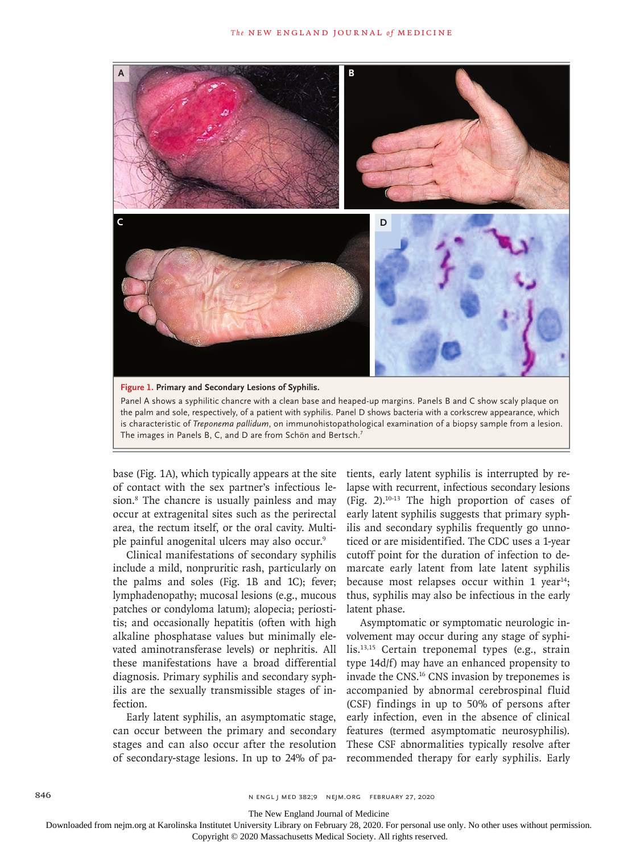

base (Fig. 1A), which typically appears at the site of contact with the sex partner's infectious lesion.8 The chancre is usually painless and may occur at extragenital sites such as the perirectal area, the rectum itself, or the oral cavity. Multiple painful anogenital ulcers may also occur.9

Clinical manifestations of secondary syphilis include a mild, nonpruritic rash, particularly on the palms and soles (Fig. 1B and 1C); fever; lymphadenopathy; mucosal lesions (e.g., mucous patches or condyloma latum); alopecia; periostitis; and occasionally hepatitis (often with high alkaline phosphatase values but minimally elevated aminotransferase levels) or nephritis. All these manifestations have a broad differential diagnosis. Primary syphilis and secondary syphilis are the sexually transmissible stages of infection.

Early latent syphilis, an asymptomatic stage, can occur between the primary and secondary stages and can also occur after the resolution of secondary-stage lesions. In up to 24% of patients, early latent syphilis is interrupted by relapse with recurrent, infectious secondary lesions (Fig. 2).10-13 The high proportion of cases of early latent syphilis suggests that primary syphilis and secondary syphilis frequently go unnoticed or are misidentified. The CDC uses a 1-year cutoff point for the duration of infection to demarcate early latent from late latent syphilis because most relapses occur within 1 year<sup>14</sup>; thus, syphilis may also be infectious in the early latent phase.

Asymptomatic or symptomatic neurologic involvement may occur during any stage of syphilis.13,15 Certain treponemal types (e.g., strain type 14d/f) may have an enhanced propensity to invade the CNS.16 CNS invasion by treponemes is accompanied by abnormal cerebrospinal fluid (CSF) findings in up to 50% of persons after early infection, even in the absence of clinical features (termed asymptomatic neurosyphilis). These CSF abnormalities typically resolve after recommended therapy for early syphilis. Early

846 **846** N ENGL J MED 382;9 NEJM.ORG FEBRUARY 27, 2020

The New England Journal of Medicine

Downloaded from nejm.org at Karolinska Institutet University Library on February 28, 2020. For personal use only. No other uses without permission.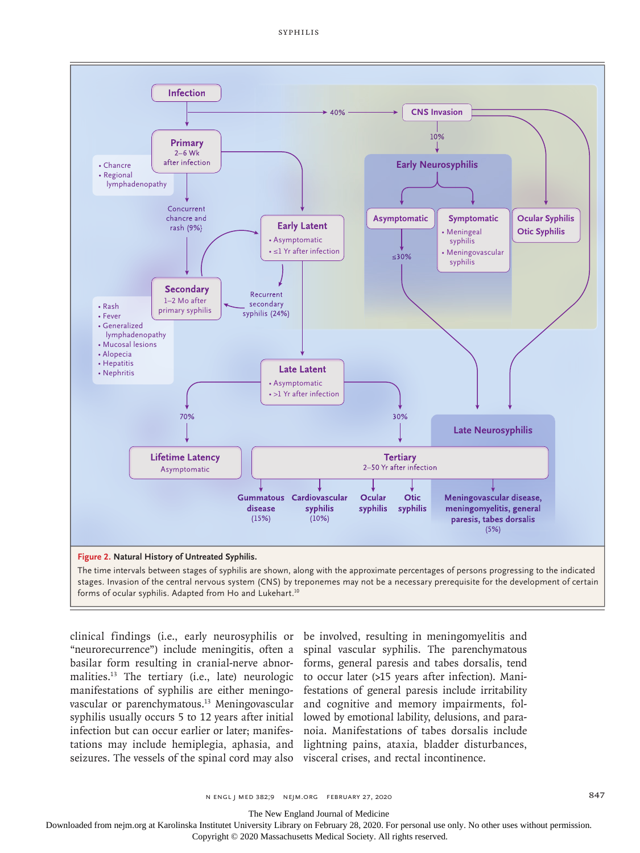

stages. Invasion of the central nervous system (CNS) by treponemes may not be a necessary prerequisite for the development of certain forms of ocular syphilis. Adapted from Ho and Lukehart.<sup>10</sup>

clinical findings (i.e., early neurosyphilis or be involved, resulting in meningomyelitis and "neurorecurrence") include meningitis, often a spinal vascular syphilis. The parenchymatous basilar form resulting in cranial-nerve abnor-forms, general paresis and tabes dorsalis, tend malities.<sup>13</sup> The tertiary (i.e., late) neurologic to occur later (>15 years after infection). Manimanifestations of syphilis are either meningovascular or parenchymatous.13 Meningovascular and cognitive and memory impairments, folsyphilis usually occurs 5 to 12 years after initial lowed by emotional lability, delusions, and parainfection but can occur earlier or later; manifes-noia. Manifestations of tabes dorsalis include tations may include hemiplegia, aphasia, and lightning pains, ataxia, bladder disturbances, seizures. The vessels of the spinal cord may also visceral crises, and rectal incontinence.

festations of general paresis include irritability

n engl j med 382;9 nejm.org February 27, 2020 847

The New England Journal of Medicine

Downloaded from nejm.org at Karolinska Institutet University Library on February 28, 2020. For personal use only. No other uses without permission.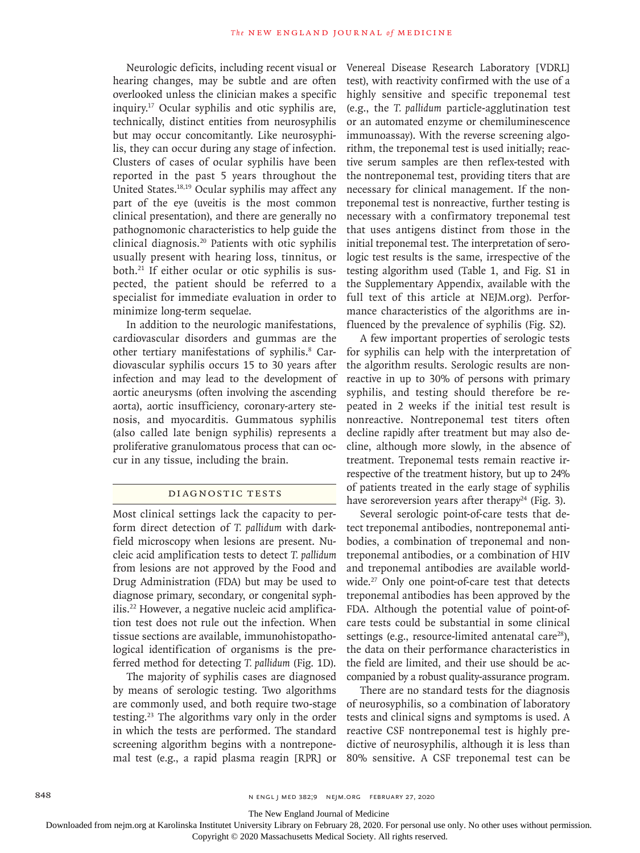Neurologic deficits, including recent visual or hearing changes, may be subtle and are often overlooked unless the clinician makes a specific inquiry.17 Ocular syphilis and otic syphilis are, technically, distinct entities from neurosyphilis but may occur concomitantly. Like neurosyphilis, they can occur during any stage of infection. Clusters of cases of ocular syphilis have been reported in the past 5 years throughout the United States.18,19 Ocular syphilis may affect any part of the eye (uveitis is the most common clinical presentation), and there are generally no pathognomonic characteristics to help guide the clinical diagnosis.20 Patients with otic syphilis usually present with hearing loss, tinnitus, or both.21 If either ocular or otic syphilis is suspected, the patient should be referred to a specialist for immediate evaluation in order to minimize long-term sequelae.

In addition to the neurologic manifestations, cardiovascular disorders and gummas are the other tertiary manifestations of syphilis.<sup>8</sup> Cardiovascular syphilis occurs 15 to 30 years after infection and may lead to the development of aortic aneurysms (often involving the ascending aorta), aortic insufficiency, coronary-artery stenosis, and myocarditis. Gummatous syphilis (also called late benign syphilis) represents a proliferative granulomatous process that can occur in any tissue, including the brain.

#### Diagnostic Tests

Most clinical settings lack the capacity to perform direct detection of *T. pallidum* with darkfield microscopy when lesions are present. Nucleic acid amplification tests to detect *T. pallidum* from lesions are not approved by the Food and Drug Administration (FDA) but may be used to diagnose primary, secondary, or congenital syphilis.22 However, a negative nucleic acid amplification test does not rule out the infection. When tissue sections are available, immunohistopathological identification of organisms is the preferred method for detecting *T. pallidum* (Fig. 1D).

The majority of syphilis cases are diagnosed by means of serologic testing. Two algorithms are commonly used, and both require two-stage testing.23 The algorithms vary only in the order in which the tests are performed. The standard screening algorithm begins with a nontreponemal test (e.g., a rapid plasma reagin [RPR] or Venereal Disease Research Laboratory [VDRL] test), with reactivity confirmed with the use of a highly sensitive and specific treponemal test (e.g., the *T. pallidum* particle-agglutination test or an automated enzyme or chemiluminescence immunoassay). With the reverse screening algorithm, the treponemal test is used initially; reactive serum samples are then reflex-tested with the nontreponemal test, providing titers that are necessary for clinical management. If the nontreponemal test is nonreactive, further testing is necessary with a confirmatory treponemal test that uses antigens distinct from those in the initial treponemal test. The interpretation of serologic test results is the same, irrespective of the testing algorithm used (Table 1, and Fig. S1 in the Supplementary Appendix, available with the full text of this article at NEJM.org). Performance characteristics of the algorithms are influenced by the prevalence of syphilis (Fig. S2).

A few important properties of serologic tests for syphilis can help with the interpretation of the algorithm results. Serologic results are nonreactive in up to 30% of persons with primary syphilis, and testing should therefore be repeated in 2 weeks if the initial test result is nonreactive. Nontreponemal test titers often decline rapidly after treatment but may also decline, although more slowly, in the absence of treatment. Treponemal tests remain reactive irrespective of the treatment history, but up to 24% of patients treated in the early stage of syphilis have seroreversion years after therapy<sup>24</sup> (Fig. 3).

Several serologic point-of-care tests that detect treponemal antibodies, nontreponemal antibodies, a combination of treponemal and nontreponemal antibodies, or a combination of HIV and treponemal antibodies are available worldwide.<sup>27</sup> Only one point-of-care test that detects treponemal antibodies has been approved by the FDA. Although the potential value of point-ofcare tests could be substantial in some clinical settings (e.g., resource-limited antenatal care $^{28}$ ), the data on their performance characteristics in the field are limited, and their use should be accompanied by a robust quality-assurance program.

There are no standard tests for the diagnosis of neurosyphilis, so a combination of laboratory tests and clinical signs and symptoms is used. A reactive CSF nontreponemal test is highly predictive of neurosyphilis, although it is less than 80% sensitive. A CSF treponemal test can be

The New England Journal of Medicine

Downloaded from nejm.org at Karolinska Institutet University Library on February 28, 2020. For personal use only. No other uses without permission.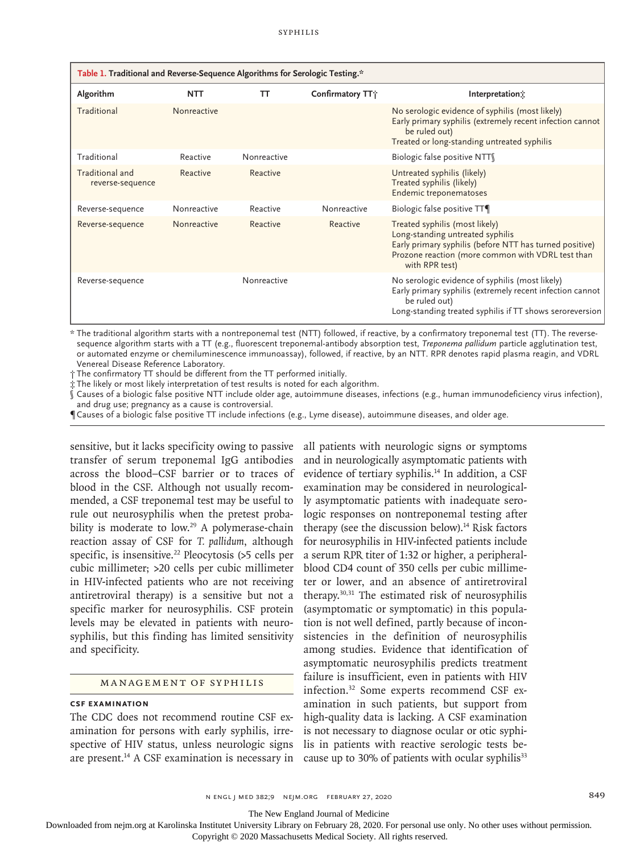| Table 1. Traditional and Reverse-Sequence Algorithms for Serologic Testing.* |             |             |                              |                                                                                                                                                                                                      |
|------------------------------------------------------------------------------|-------------|-------------|------------------------------|------------------------------------------------------------------------------------------------------------------------------------------------------------------------------------------------------|
| Algorithm                                                                    | <b>NTT</b>  | тт          | Confirmatory TT <sup>+</sup> | Interpretation:                                                                                                                                                                                      |
| Traditional                                                                  | Nonreactive |             |                              | No serologic evidence of syphilis (most likely)<br>Early primary syphilis (extremely recent infection cannot<br>be ruled out)<br>Treated or long-standing untreated syphilis                         |
| Traditional                                                                  | Reactive    | Nonreactive |                              | Biologic false positive NTT                                                                                                                                                                          |
| Traditional and<br>reverse-sequence                                          | Reactive    | Reactive    |                              | Untreated syphilis (likely)<br>Treated syphilis (likely)<br>Endemic treponematoses                                                                                                                   |
| Reverse-sequence                                                             | Nonreactive | Reactive    | Nonreactive                  | Biologic false positive TT¶                                                                                                                                                                          |
| Reverse-sequence                                                             | Nonreactive | Reactive    | Reactive                     | Treated syphilis (most likely)<br>Long-standing untreated syphilis<br>Early primary syphilis (before NTT has turned positive)<br>Prozone reaction (more common with VDRL test than<br>with RPR test) |
| Reverse-sequence                                                             |             | Nonreactive |                              | No serologic evidence of syphilis (most likely)<br>Early primary syphilis (extremely recent infection cannot<br>be ruled out)<br>Long-standing treated syphilis if TT shows seroreversion            |

\* The traditional algorithm starts with a nontreponemal test (NTT) followed, if reactive, by a confirmatory treponemal test (TT). The reversesequence algorithm starts with a TT (e.g., fluorescent treponemal-antibody absorption test, *Treponema pallidum* particle agglutination test, or automated enzyme or chemiluminescence immunoassay), followed, if reactive, by an NTT. RPR denotes rapid plasma reagin, and VDRL Venereal Disease Reference Laboratory.

† The confirmatory TT should be different from the TT performed initially.

‡ The likely or most likely interpretation of test results is noted for each algorithm.

Causes of a biologic false positive NTT include older age, autoimmune diseases, infections (e.g., human immunodeficiency virus infection), and drug use; pregnancy as a cause is controversial.

¶ Causes of a biologic false positive TT include infections (e.g., Lyme disease), autoimmune diseases, and older age.

sensitive, but it lacks specificity owing to passive transfer of serum treponemal IgG antibodies across the blood–CSF barrier or to traces of blood in the CSF. Although not usually recommended, a CSF treponemal test may be useful to rule out neurosyphilis when the pretest probability is moderate to low.<sup>29</sup> A polymerase-chain reaction assay of CSF for *T. pallidum*, although specific, is insensitive.<sup>22</sup> Pleocytosis (>5 cells per cubic millimeter; >20 cells per cubic millimeter in HIV-infected patients who are not receiving antiretroviral therapy) is a sensitive but not a specific marker for neurosyphilis. CSF protein levels may be elevated in patients with neurosyphilis, but this finding has limited sensitivity and specificity.

#### Management of Syphilis

### **CSF Examination**

The CDC does not recommend routine CSF examination for persons with early syphilis, irrespective of HIV status, unless neurologic signs are present.14 A CSF examination is necessary in

all patients with neurologic signs or symptoms and in neurologically asymptomatic patients with evidence of tertiary syphilis.<sup>14</sup> In addition, a CSF examination may be considered in neurologically asymptomatic patients with inadequate serologic responses on nontreponemal testing after therapy (see the discussion below).<sup>14</sup> Risk factors for neurosyphilis in HIV-infected patients include a serum RPR titer of 1:32 or higher, a peripheralblood CD4 count of 350 cells per cubic millimeter or lower, and an absence of antiretroviral therapy.30,31 The estimated risk of neurosyphilis (asymptomatic or symptomatic) in this population is not well defined, partly because of inconsistencies in the definition of neurosyphilis among studies. Evidence that identification of asymptomatic neurosyphilis predicts treatment failure is insufficient, even in patients with HIV infection.32 Some experts recommend CSF examination in such patients, but support from high-quality data is lacking. A CSF examination is not necessary to diagnose ocular or otic syphilis in patients with reactive serologic tests because up to 30% of patients with ocular syphilis<sup>33</sup>

n engl j med 382;9 nejm.org February 27, 2020 849

The New England Journal of Medicine

Downloaded from nejm.org at Karolinska Institutet University Library on February 28, 2020. For personal use only. No other uses without permission.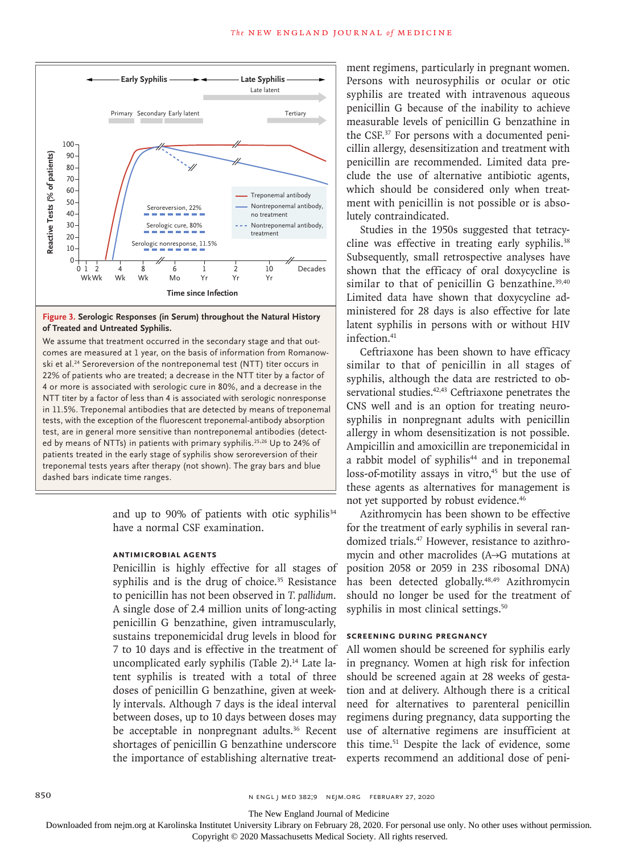

#### **Figure 3. Serologic Responses (in Serum) throughout the Natural History of Treated and Untreated Syphilis.**

We assume that treatment occurred in the secondary stage and that outcomes are measured at 1 year, on the basis of information from Romanowski et al.<sup>24</sup> Seroreversion of the nontreponemal test (NTT) titer occurs in 22% of patients who are treated; a decrease in the NTT titer by a factor of 4 or more is associated with serologic cure in 80%, and a decrease in the NTT titer by a factor of less than 4 is associated with serologic nonresponse in 11.5%. Treponemal antibodies that are detected by means of treponemal tests, with the exception of the fluorescent treponemal-antibody absorption test, are in general more sensitive than nontreponemal antibodies (detected by means of NTTs) in patients with primary syphilis.<sup>25,26</sup> Up to 24% of patients treated in the early stage of syphilis show seroreversion of their treponemal tests years after therapy (not shown). The gray bars and blue

> and up to 90% of patients with otic syphilis<sup>34</sup> have a normal CSF examination.

#### **Antimicrobial Agents**

Penicillin is highly effective for all stages of syphilis and is the drug of choice. $35$  Resistance to penicillin has not been observed in *T. pallidum*. A single dose of 2.4 million units of long-acting penicillin G benzathine, given intramuscularly, sustains treponemicidal drug levels in blood for 7 to 10 days and is effective in the treatment of uncomplicated early syphilis (Table 2).<sup>14</sup> Late latent syphilis is treated with a total of three doses of penicillin G benzathine, given at weekly intervals. Although 7 days is the ideal interval between doses, up to 10 days between doses may be acceptable in nonpregnant adults.<sup>36</sup> Recent shortages of penicillin G benzathine underscore the importance of establishing alternative treatment regimens, particularly in pregnant women. Persons with neurosyphilis or ocular or otic syphilis are treated with intravenous aqueous penicillin G because of the inability to achieve measurable levels of penicillin G benzathine in the CSF.37 For persons with a documented penicillin allergy, desensitization and treatment with penicillin are recommended. Limited data preclude the use of alternative antibiotic agents, which should be considered only when treatment with penicillin is not possible or is absolutely contraindicated.

Studies in the 1950s suggested that tetracycline was effective in treating early syphilis.<sup>38</sup> Subsequently, small retrospective analyses have shown that the efficacy of oral doxycycline is similar to that of penicillin G benzathine. $39,40$ Limited data have shown that doxycycline administered for 28 days is also effective for late latent syphilis in persons with or without HIV infection.<sup>41</sup>

Ceftriaxone has been shown to have efficacy similar to that of penicillin in all stages of syphilis, although the data are restricted to observational studies.<sup>42,43</sup> Ceftriaxone penetrates the CNS well and is an option for treating neurosyphilis in nonpregnant adults with penicillin allergy in whom desensitization is not possible. Ampicillin and amoxicillin are treponemicidal in a rabbit model of syphilis<sup>44</sup> and in treponemal  $loss-of-motility$  assays in vitro, $45$  but the use of these agents as alternatives for management is not yet supported by robust evidence.46

Azithromycin has been shown to be effective for the treatment of early syphilis in several randomized trials.47 However, resistance to azithromycin and other macrolides (A→G mutations at position 2058 or 2059 in 23S ribosomal DNA) has been detected globally.<sup>48,49</sup> Azithromycin should no longer be used for the treatment of syphilis in most clinical settings.<sup>50</sup>

#### **Screening during Pregnancy**

All women should be screened for syphilis early in pregnancy. Women at high risk for infection should be screened again at 28 weeks of gestation and at delivery. Although there is a critical need for alternatives to parenteral penicillin regimens during pregnancy, data supporting the use of alternative regimens are insufficient at this time.51 Despite the lack of evidence, some experts recommend an additional dose of peni-

The New England Journal of Medicine

Downloaded from nejm.org at Karolinska Institutet University Library on February 28, 2020. For personal use only. No other uses without permission.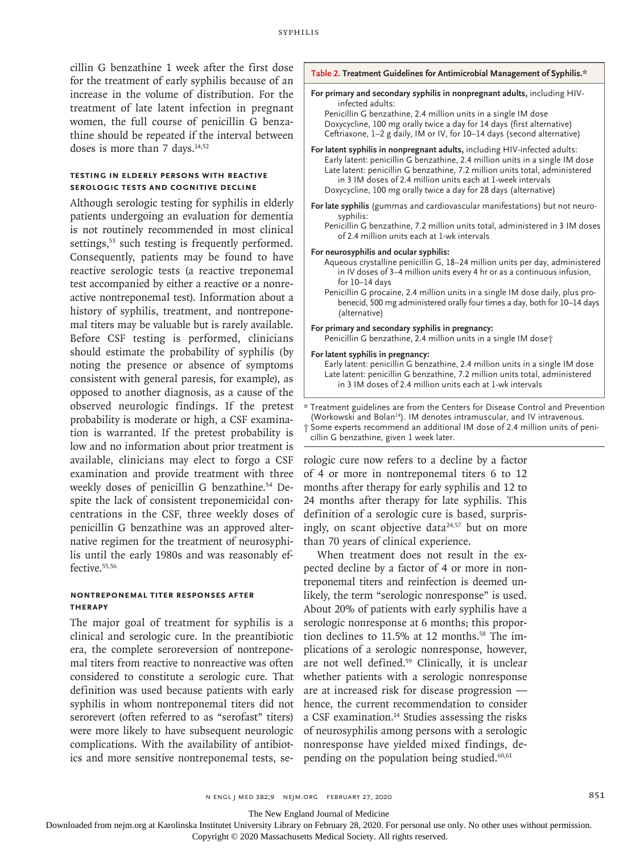cillin G benzathine 1 week after the first dose for the treatment of early syphilis because of an increase in the volume of distribution. For the treatment of late latent infection in pregnant women, the full course of penicillin G benzathine should be repeated if the interval between doses is more than 7 days.<sup>14,52</sup>

#### **Testing in Elderly Persons with Reactive Serologic Tests and Cognitive Decline**

Although serologic testing for syphilis in elderly patients undergoing an evaluation for dementia is not routinely recommended in most clinical settings,<sup>53</sup> such testing is frequently performed. Consequently, patients may be found to have reactive serologic tests (a reactive treponemal test accompanied by either a reactive or a nonreactive nontreponemal test). Information about a history of syphilis, treatment, and nontreponemal titers may be valuable but is rarely available. Before CSF testing is performed, clinicians should estimate the probability of syphilis (by noting the presence or absence of symptoms consistent with general paresis, for example), as opposed to another diagnosis, as a cause of the observed neurologic findings. If the pretest probability is moderate or high, a CSF examination is warranted. If the pretest probability is low and no information about prior treatment is available, clinicians may elect to forgo a CSF examination and provide treatment with three weekly doses of penicillin G benzathine.<sup>54</sup> Despite the lack of consistent treponemicidal concentrations in the CSF, three weekly doses of penicillin G benzathine was an approved alternative regimen for the treatment of neurosyphilis until the early 1980s and was reasonably effective.<sup>55,56</sup>

#### **Nontreponemal Titer Responses after Therapy**

The major goal of treatment for syphilis is a clinical and serologic cure. In the preantibiotic era, the complete seroreversion of nontreponemal titers from reactive to nonreactive was often considered to constitute a serologic cure. That definition was used because patients with early syphilis in whom nontreponemal titers did not serorevert (often referred to as "serofast" titers) were more likely to have subsequent neurologic complications. With the availability of antibiotics and more sensitive nontreponemal tests, se-



**Table 2. Treatment Guidelines for Antimicrobial Management of Syphilis.\***

\* Treatment guidelines are from the Centers for Disease Control and Prevention (Workowski and Bolan<sup>14</sup>). IM denotes intramuscular, and IV intravenous. † Some experts recommend an additional IM dose of 2.4 million units of penicillin G benzathine, given 1 week later.

rologic cure now refers to a decline by a factor of 4 or more in nontreponemal titers 6 to 12 months after therapy for early syphilis and 12 to 24 months after therapy for late syphilis. This definition of a serologic cure is based, surprisingly, on scant objective data<sup>24,57</sup> but on more than 70 years of clinical experience.

When treatment does not result in the expected decline by a factor of 4 or more in nontreponemal titers and reinfection is deemed unlikely, the term "serologic nonresponse" is used. About 20% of patients with early syphilis have a serologic nonresponse at 6 months; this proportion declines to 11.5% at 12 months.<sup>58</sup> The implications of a serologic nonresponse, however, are not well defined.59 Clinically, it is unclear whether patients with a serologic nonresponse are at increased risk for disease progression hence, the current recommendation to consider a CSF examination.14 Studies assessing the risks of neurosyphilis among persons with a serologic nonresponse have yielded mixed findings, depending on the population being studied.<sup>60,61</sup>

The New England Journal of Medicine

Downloaded from nejm.org at Karolinska Institutet University Library on February 28, 2020. For personal use only. No other uses without permission.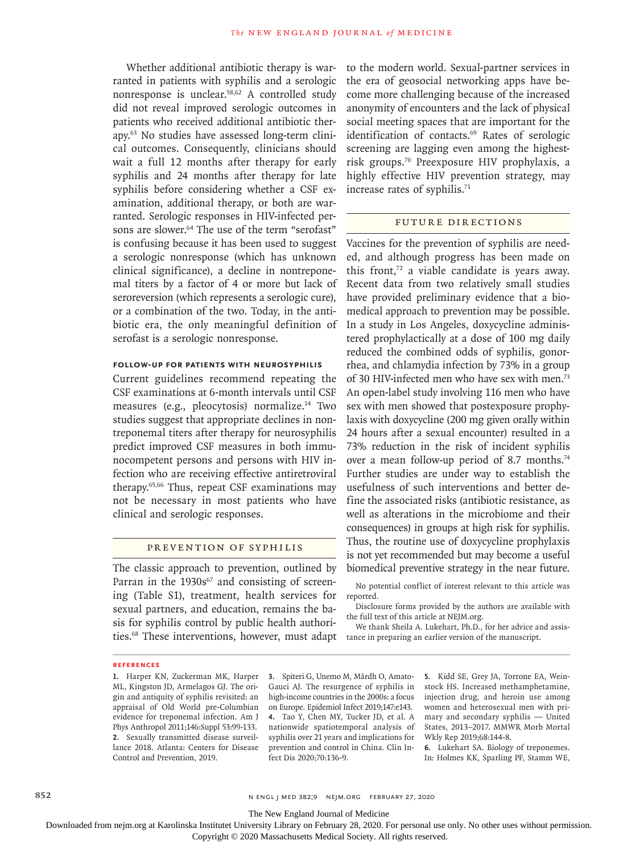Whether additional antibiotic therapy is warranted in patients with syphilis and a serologic nonresponse is unclear.58,62 A controlled study did not reveal improved serologic outcomes in patients who received additional antibiotic therapy.63 No studies have assessed long-term clinical outcomes. Consequently, clinicians should wait a full 12 months after therapy for early syphilis and 24 months after therapy for late syphilis before considering whether a CSF examination, additional therapy, or both are warranted. Serologic responses in HIV-infected persons are slower.<sup>64</sup> The use of the term "serofast" is confusing because it has been used to suggest a serologic nonresponse (which has unknown clinical significance), a decline in nontreponemal titers by a factor of 4 or more but lack of seroreversion (which represents a serologic cure), or a combination of the two. Today, in the antibiotic era, the only meaningful definition of serofast is a serologic nonresponse.

#### **Follow-up for Patients with Neurosyphilis**

Current guidelines recommend repeating the CSF examinations at 6-month intervals until CSF measures (e.g., pleocytosis) normalize.14 Two studies suggest that appropriate declines in nontreponemal titers after therapy for neurosyphilis predict improved CSF measures in both immunocompetent persons and persons with HIV infection who are receiving effective antiretroviral therapy.65,66 Thus, repeat CSF examinations may not be necessary in most patients who have clinical and serologic responses.

## Prevention of Syphilis

The classic approach to prevention, outlined by Parran in the 1930s<sup>67</sup> and consisting of screening (Table S1), treatment, health services for reported. sexual partners, and education, remains the basis for syphilis control by public health authorities.68 These interventions, however, must adapt

to the modern world. Sexual-partner services in the era of geosocial networking apps have become more challenging because of the increased anonymity of encounters and the lack of physical social meeting spaces that are important for the identification of contacts.<sup>69</sup> Rates of serologic screening are lagging even among the highestrisk groups.70 Preexposure HIV prophylaxis, a highly effective HIV prevention strategy, may increase rates of syphilis.<sup>71</sup>

#### Future Directions

Vaccines for the prevention of syphilis are needed, and although progress has been made on this front, $72$  a viable candidate is years away. Recent data from two relatively small studies have provided preliminary evidence that a biomedical approach to prevention may be possible. In a study in Los Angeles, doxycycline administered prophylactically at a dose of 100 mg daily reduced the combined odds of syphilis, gonorrhea, and chlamydia infection by 73% in a group of 30 HIV-infected men who have sex with men.73 An open-label study involving 116 men who have sex with men showed that postexposure prophylaxis with doxycycline (200 mg given orally within 24 hours after a sexual encounter) resulted in a 73% reduction in the risk of incident syphilis over a mean follow-up period of 8.7 months.<sup>74</sup> Further studies are under way to establish the usefulness of such interventions and better define the associated risks (antibiotic resistance, as well as alterations in the microbiome and their consequences) in groups at high risk for syphilis. Thus, the routine use of doxycycline prophylaxis is not yet recommended but may become a useful biomedical preventive strategy in the near future.

No potential conflict of interest relevant to this article was

Disclosure forms provided by the authors are available with the full text of this article at NEJM.org.

We thank Sheila A. Lukehart, Ph.D., for her advice and assistance in preparing an earlier version of the manuscript.

#### **References**

**1.** Harper KN, Zuckerman MK, Harper ML, Kingston JD, Armelagos GJ. The origin and antiquity of syphilis revisited: an appraisal of Old World pre-Columbian evidence for treponemal infection. Am J Phys Anthropol 2011;146:Suppl 53:99-133. **2.** Sexually transmitted disease surveillance 2018. Atlanta: Centers for Disease Control and Prevention, 2019.

**3.** Spiteri G, Unemo M, Mårdh O, Amato-Gauci AJ. The resurgence of syphilis in high-income countries in the 2000s: a focus on Europe. Epidemiol Infect 2019;147:e143. **4.** Tao Y, Chen MY, Tucker JD, et al. A nationwide spatiotemporal analysis of syphilis over 21 years and implications for prevention and control in China. Clin Infect Dis 2020;70:136-9.

**5.** Kidd SE, Grey JA, Torrone EA, Weinstock HS. Increased methamphetamine, injection drug, and heroin use among women and heterosexual men with primary and secondary syphilis — United States, 2013–2017. MMWR Morb Mortal Wkly Rep 2019;68:144-8.

**6.** Lukehart SA. Biology of treponemes. In: Holmes KK, Sparling PF, Stamm WE,

852 **N ENGL | MED 382;9 NEIM.ORG FEBRUARY 27, 2020** 

The New England Journal of Medicine

Downloaded from nejm.org at Karolinska Institutet University Library on February 28, 2020. For personal use only. No other uses without permission.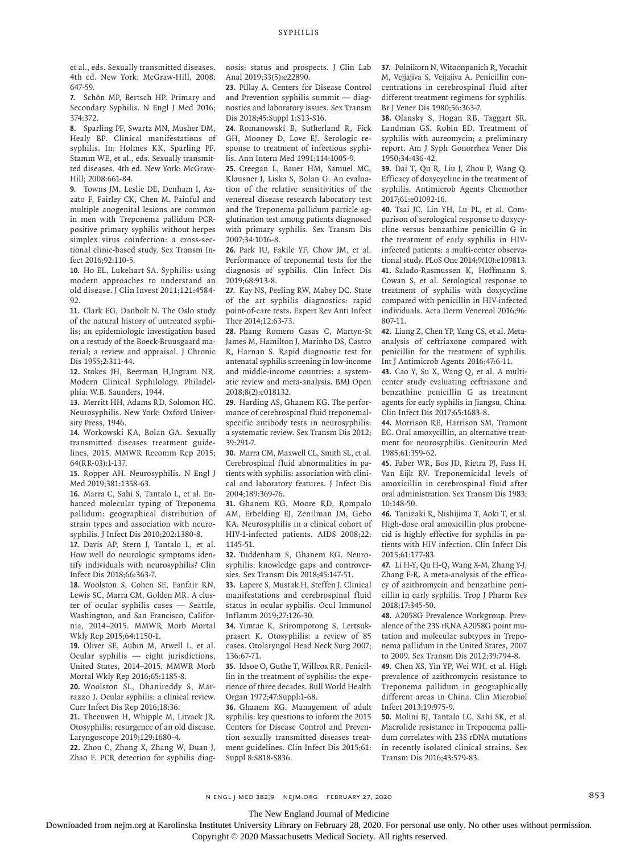et al., eds. Sexually transmitted diseases. 4th ed. New York: McGraw-Hill, 2008: 647-59.

**7.** Schön MP, Bertsch HP. Primary and Secondary Syphilis. N Engl J Med 2016; 374:372.

**8.** Sparling PF, Swartz MN, Musher DM, Healy BP. Clinical manifestations of syphilis. In: Holmes KK, Sparling PF, Stamm WE, et al., eds. Sexually transmitted diseases. 4th ed. New York: McGraw-Hill; 2008:661-84.

**9.** Towns JM, Leslie DE, Denham I, Azzato F, Fairley CK, Chen M. Painful and multiple anogenital lesions are common in men with Treponema pallidum PCRpositive primary syphilis without herpes simplex virus coinfection: a cross-sectional clinic-based study. Sex Transm Infect 2016;92:110-5.

**10.** Ho EL, Lukehart SA. Syphilis: using modern approaches to understand an old disease. J Clin Invest 2011;121:4584- 92.

**11.** Clark EG, Danbolt N. The Oslo study of the natural history of untreated syphilis; an epidemiologic investigation based on a restudy of the Boeck-Bruusgaard material; a review and appraisal. J Chronic Dis 1955;2:311-44.

**12.** Stokes JH, Beerman H,Ingram NR. Modern Clinical Syphilology. Philadelphia: W.B. Saunders, 1944.

**13.** Merritt HH, Adams RD, Solomon HC. Neurosyphilis. New York: Oxford University Press, 1946.

**14.** Workowski KA, Bolan GA. Sexually transmitted diseases treatment guidelines, 2015. MMWR Recomm Rep 2015; 64(RR-03):1-137.

**15.** Ropper AH. Neurosyphilis. N Engl J Med 2019;381:1358-63.

**16.** Marra C, Sahi S, Tantalo L, et al. Enhanced molecular typing of Treponema pallidum: geographical distribution of strain types and association with neurosyphilis. J Infect Dis 2010;202:1380-8.

**17.** Davis AP, Stern J, Tantalo L, et al. How well do neurologic symptoms identify individuals with neurosyphilis? Clin Infect Dis 2018;66:363-7.

**18.** Woolston S, Cohen SE, Fanfair RN, Lewis SC, Marra CM, Golden MR. A cluster of ocular syphilis cases — Seattle, Washington, and San Francisco, California, 2014–2015. MMWR Morb Mortal Wkly Rep 2015;64:1150-1.

**19.** Oliver SE, Aubin M, Atwell L, et al. Ocular syphilis — eight jurisdictions, United States, 2014–2015. MMWR Morb Mortal Wkly Rep 2016;65:1185-8.

**20.** Woolston SL, Dhanireddy S, Marrazzo J. Ocular syphilis: a clinical review. Curr Infect Dis Rep 2016;18:36.

**21.** Theeuwen H, Whipple M, Litvack JR. Otosyphilis: resurgence of an old disease. Laryngoscope 2019;129:1680-4.

**22.** Zhou C, Zhang X, Zhang W, Duan J, Zhao F. PCR detection for syphilis diagnosis: status and prospects. J Clin Lab Anal 2019;33(5):e22890.

**23.** Pillay A. Centers for Disease Control and Prevention syphilis summit — diagnostics and laboratory issues. Sex Transm Dis 2018;45:Suppl 1:S13-S16.

**24.** Romanowski B, Sutherland R, Fick GH, Mooney D, Love EJ. Serologic response to treatment of infectious syphilis. Ann Intern Med 1991;114:1005-9.

**25.** Creegan L, Bauer HM, Samuel MC, Klausner J, Liska S, Bolan G. An evaluation of the relative sensitivities of the venereal disease research laboratory test and the Treponema pallidum particle agglutination test among patients diagnosed with primary syphilis. Sex Transm Dis 2007;34:1016-8.

**26.** Park IU, Fakile YF, Chow JM, et al. Performance of treponemal tests for the diagnosis of syphilis. Clin Infect Dis 2019;68:913-8.

**27.** Kay NS, Peeling RW, Mabey DC. State of the art syphilis diagnostics: rapid point-of-care tests. Expert Rev Anti Infect Ther 2014;12:63-73.

**28.** Phang Romero Casas C, Martyn-St James M, Hamilton J, Marinho DS, Castro R, Harnan S. Rapid diagnostic test for antenatal syphilis screening in low-income and middle-income countries: a systematic review and meta-analysis. BMJ Open 2018;8(2):e018132.

**29.** Harding AS, Ghanem KG. The performance of cerebrospinal fluid treponemalspecific antibody tests in neurosyphilis: a systematic review. Sex Transm Dis 2012; 39:291-7.

**30.** Marra CM, Maxwell CL, Smith SL, et al. Cerebrospinal fluid abnormalities in patients with syphilis: association with clinical and laboratory features. J Infect Dis 2004;189:369-76.

**31.** Ghanem KG, Moore RD, Rompalo AM, Erbelding EJ, Zenilman JM, Gebo KA. Neurosyphilis in a clinical cohort of HIV-1-infected patients. AIDS 2008;22: 1145-51.

**32.** Tuddenham S, Ghanem KG. Neurosyphilis: knowledge gaps and controversies. Sex Transm Dis 2018;45:147-51.

**33.** Lapere S, Mustak H, Steffen J. Clinical manifestations and cerebrospinal fluid status in ocular syphilis. Ocul Immunol Inflamm 2019;27:126-30.

**34.** Yimtae K, Srirompotong S, Lertsukprasert K. Otosyphilis: a review of 85 cases. Otolaryngol Head Neck Surg 2007; 136:67-71.

**35.** Idsoe O, Guthe T, Willcox RR. Penicillin in the treatment of syphilis: the experience of three decades. Bull World Health Organ 1972;47:Suppl:1-68.

**36.** Ghanem KG. Management of adult syphilis: key questions to inform the 2015 Centers for Disease Control and Prevention sexually transmitted diseases treatment guidelines. Clin Infect Dis 2015;61: Suppl 8:S818-S836.

**37.** Polnikorn N, Witoonpanich R, Vorachit M, Vejjajiva S, Vejjajiva A. Penicillin concentrations in cerebrospinal fluid after different treatment regimens for syphilis. Br J Vener Dis 1980;56:363-7.

**38.** Olansky S, Hogan RB, Taggart SR, Landman GS, Robin ED. Treatment of syphilis with aureomycin; a preliminary report. Am J Syph Gonorrhea Vener Dis 1950;34:436-42.

**39.** Dai T, Qu R, Liu J, Zhou P, Wang Q. Efficacy of doxycycline in the treatment of syphilis. Antimicrob Agents Chemother 2017;61:e01092-16.

**40.** Tsai JC, Lin YH, Lu PL, et al. Comparison of serological response to doxycycline versus benzathine penicillin G in the treatment of early syphilis in HIVinfected patients: a multi-center observational study. PLoS One 2014;9(10):e109813. **41.** Salado-Rasmussen K, Hoffmann S, Cowan S, et al. Serological response to treatment of syphilis with doxycycline compared with penicillin in HIV-infected individuals. Acta Derm Venereol 2016;96: 807-11.

**42.** Liang Z, Chen YP, Yang CS, et al. Metaanalysis of ceftriaxone compared with penicillin for the treatment of syphilis. Int J Antimicrob Agents 2016;47:6-11.

**43.** Cao Y, Su X, Wang Q, et al. A multicenter study evaluating ceftriaxone and benzathine penicillin G as treatment agents for early syphilis in Jiangsu, China. Clin Infect Dis 2017;65:1683-8.

**44.** Morrison RE, Harrison SM, Tramont EC. Oral amoxycillin, an alternative treatment for neurosyphilis. Genitourin Med 1985;61:359-62.

**45.** Faber WR, Bos JD, Rietra PJ, Fass H, Van Eijk RV. Treponemicidal levels of amoxicillin in cerebrospinal fluid after oral administration. Sex Transm Dis 1983; 10:148-50.

**46.** Tanizaki R, Nishijima T, Aoki T, et al. High-dose oral amoxicillin plus probenecid is highly effective for syphilis in patients with HIV infection. Clin Infect Dis 2015;61:177-83.

**47.** Li H-Y, Qu H-Q, Wang X-M, Zhang Y-J, Zhang F-R. A meta-analysis of the efficacy of azithromycin and benzathine penicillin in early syphilis. Trop J Pharm Res 2018;17:345-50.

**48.** A2058G Prevalence Workgroup. Prevalence of the 23S rRNA A2058G point mutation and molecular subtypes in Treponema pallidum in the United States, 2007 to 2009. Sex Transm Dis 2012;39:794-8.

**49.** Chen XS, Yin YP, Wei WH, et al. High prevalence of azithromycin resistance to Treponema pallidum in geographically different areas in China. Clin Microbiol Infect 2013;19:975-9.

**50.** Molini BJ, Tantalo LC, Sahi SK, et al. Macrolide resistance in Treponema pallidum correlates with 23S rDNA mutations in recently isolated clinical strains. Sex Transm Dis 2016;43:579-83.

n engl j med 382;9 nejm.org February 27, 2020 853

The New England Journal of Medicine

Downloaded from nejm.org at Karolinska Institutet University Library on February 28, 2020. For personal use only. No other uses without permission.